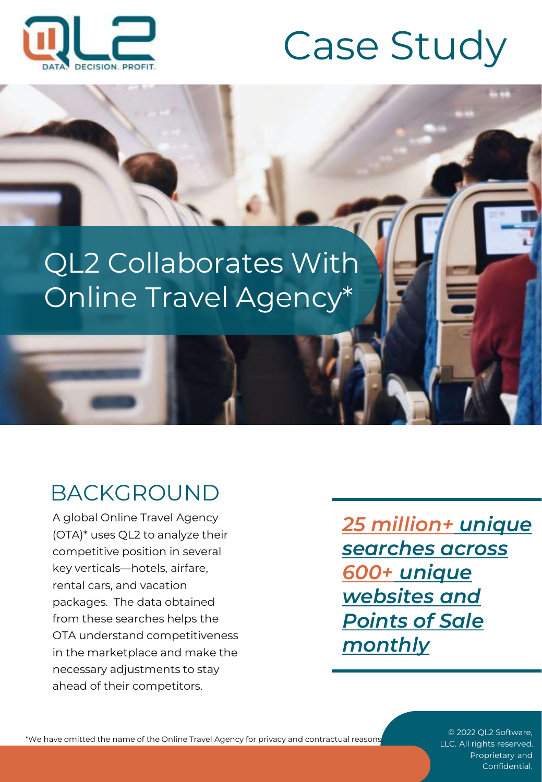

# Case Study

## QL2 Collaborates With Online Travel Agency\*

### BACKGROUND

A global Online Travel Agency (OTA)\* uses QL2 to analyze their competitive position in several key verticals—hotels, airfare, rental cars, and vacation packages. The data obtained from these searches helps the OTA understand competitiveness in the marketplace and make the necessary adjustments to stay ahead of their competitors.

*25 million+ unique searches across 600+ unique websites and Points of Sale monthly*

\*We have omitted the name of the Online Travel Agency for privacy and contractual reasons.

© 2022 QL2 Software, LLC. All rights reserved. Proprietary and Confidential.